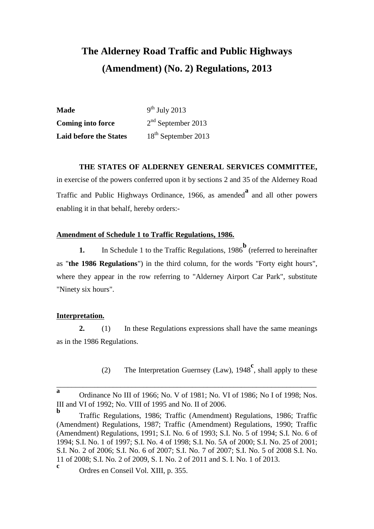# **The Alderney Road Traffic and Public Highways (Amendment) (No. 2) Regulations, 2013**

| <b>Made</b>                   | $9th$ July 2013                 |
|-------------------------------|---------------------------------|
| <b>Coming into force</b>      | $2nd$ September 2013            |
| <b>Laid before the States</b> | 18 <sup>th</sup> September 2013 |

## **THE STATES OF ALDERNEY GENERAL SERVICES COMMITTEE,**

in exercise of the powers conferred upon it by sections 2 and 35 of the Alderney Road Traffic and Public Highways Ordinance, 1966, as amended**<sup>a</sup>** and all other powers enabling it in that behalf, hereby orders:-

## **Amendment of Schedule 1 to Traffic Regulations, 1986.**

**1.** In Schedule 1 to the Traffic Regulations, 1986<sup>b</sup> (referred to hereinafter as "**the 1986 Regulations**") in the third column, for the words "Forty eight hours", where they appear in the row referring to "Alderney Airport Car Park", substitute "Ninety six hours".

### **Interpretation.**

**2.** (1) In these Regulations expressions shall have the same meanings as in the 1986 Regulations.

(2) The Interpretation Guernsey (Law), 1948**<sup>c</sup>** , shall apply to these

\_\_\_\_\_\_\_\_\_\_\_\_\_\_\_\_\_\_\_\_\_\_\_\_\_\_\_\_\_\_\_\_\_\_\_\_\_\_\_\_\_\_\_\_\_\_\_\_\_\_\_\_\_\_\_\_\_\_\_\_\_\_\_\_\_\_\_\_\_

**a** Ordinance No III of 1966; No. V of 1981; No. VI of 1986; No I of 1998; Nos. III and VI of 1992; No. VIII of 1995 and No. II of 2006.

**b** Traffic Regulations, 1986; Traffic (Amendment) Regulations, 1986; Traffic (Amendment) Regulations, 1987; Traffic (Amendment) Regulations, 1990; Traffic (Amendment) Regulations, 1991; S.I. No. 6 of 1993; S.I. No. 5 of 1994; S.I. No. 6 of 1994; S.I. No. 1 of 1997; S.I. No. 4 of 1998; S.I. No. 5A of 2000; S.I. No. 25 of 2001; S.I. No. 2 of 2006; S.I. No. 6 of 2007; S.I. No. 7 of 2007; S.I. No. 5 of 2008 S.I. No. 11 of 2008; S.I. No. 2 of 2009, S. I. No. 2 of 2011 and S. I. No. 1 of 2013.

**c** Ordres en Conseil Vol. XIII, p. 355.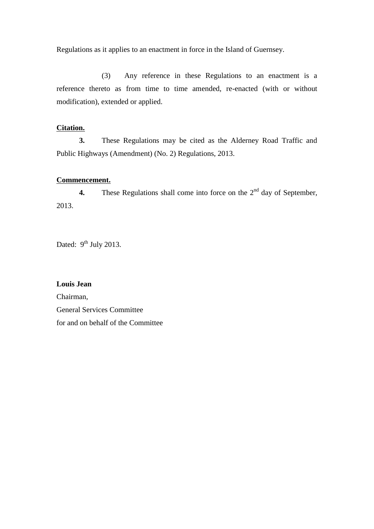Regulations as it applies to an enactment in force in the Island of Guernsey.

(3) Any reference in these Regulations to an enactment is a reference thereto as from time to time amended, re-enacted (with or without modification), extended or applied.

### **Citation.**

**3.** These Regulations may be cited as the Alderney Road Traffic and Public Highways (Amendment) (No. 2) Regulations, 2013.

#### **Commencement.**

**4.** These Regulations shall come into force on the  $2<sup>nd</sup>$  day of September, 2013.

Dated:  $9^{\text{th}}$  July 2013.

**Louis Jean** Chairman, General Services Committee for and on behalf of the Committee